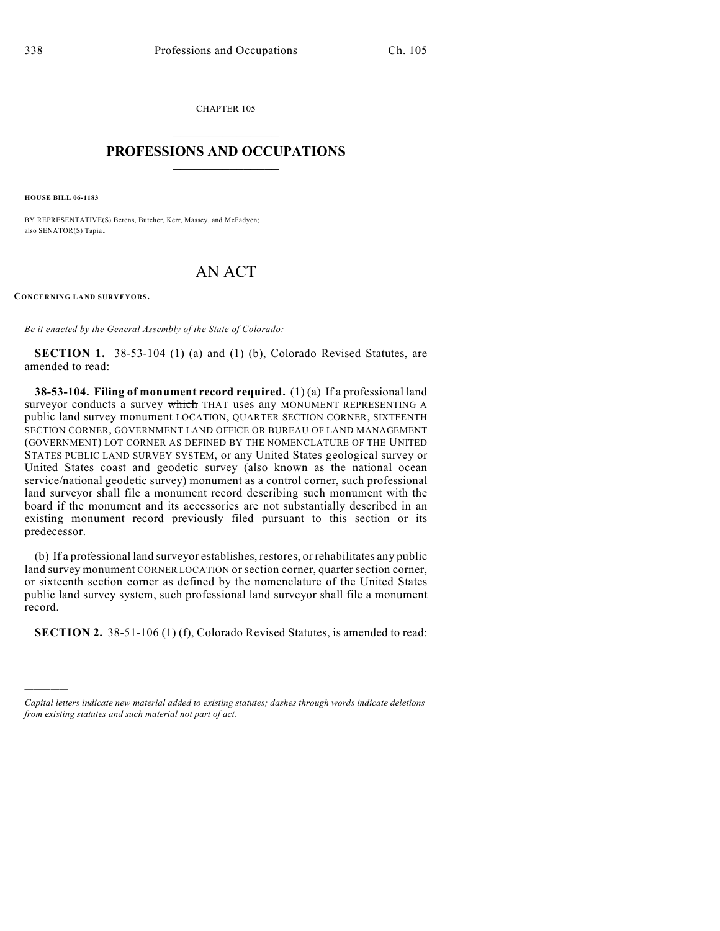CHAPTER 105  $\overline{\phantom{a}}$  . The set of the set of the set of the set of the set of the set of the set of the set of the set of the set of the set of the set of the set of the set of the set of the set of the set of the set of the set o

## **PROFESSIONS AND OCCUPATIONS**  $\frac{1}{2}$  ,  $\frac{1}{2}$  ,  $\frac{1}{2}$  ,  $\frac{1}{2}$  ,  $\frac{1}{2}$  ,  $\frac{1}{2}$

**HOUSE BILL 06-1183**

)))))

BY REPRESENTATIVE(S) Berens, Butcher, Kerr, Massey, and McFadyen; also SENATOR(S) Tapia.

## AN ACT

**CONCERNING LAND SURVEYORS.**

*Be it enacted by the General Assembly of the State of Colorado:*

**SECTION 1.** 38-53-104 (1) (a) and (1) (b), Colorado Revised Statutes, are amended to read:

**38-53-104. Filing of monument record required.** (1) (a) If a professional land surveyor conducts a survey which THAT uses any MONUMENT REPRESENTING A public land survey monument LOCATION, QUARTER SECTION CORNER, SIXTEENTH SECTION CORNER, GOVERNMENT LAND OFFICE OR BUREAU OF LAND MANAGEMENT (GOVERNMENT) LOT CORNER AS DEFINED BY THE NOMENCLATURE OF THE UNITED STATES PUBLIC LAND SURVEY SYSTEM, or any United States geological survey or United States coast and geodetic survey (also known as the national ocean service/national geodetic survey) monument as a control corner, such professional land surveyor shall file a monument record describing such monument with the board if the monument and its accessories are not substantially described in an existing monument record previously filed pursuant to this section or its predecessor.

(b) If a professional land surveyor establishes, restores, or rehabilitates any public land survey monument CORNER LOCATION or section corner, quarter section corner, or sixteenth section corner as defined by the nomenclature of the United States public land survey system, such professional land surveyor shall file a monument record.

**SECTION 2.** 38-51-106 (1) (f), Colorado Revised Statutes, is amended to read:

*Capital letters indicate new material added to existing statutes; dashes through words indicate deletions from existing statutes and such material not part of act.*